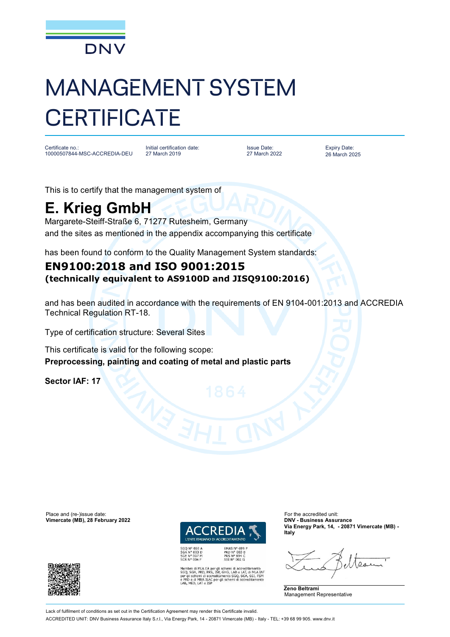

## MANAGEMENT SYSTEM **CERTIFICATE**

Certificate no.: 10000507844-MSC-ACCREDIA-DEU

Initial certification date: 27 March 2019

Issue Date: 27 March 2022 Expiry Date: 26 March 2025

This is to certify that the management system of

## **E. Krieg GmbH**

Margarete-Steiff-Straße 6, 71277 Rutesheim, Germany and the sites as mentioned in the appendix accompanying this certificate

has been found to conform to the Quality Management System standards:

## **EN9100:2018 and ISO 9001:2015 (technically equivalent to AS9100D and JISQ9100:2016)**

and has been audited in accordance with the requirements of EN 9104-001:2013 and ACCREDIA Technical Regulation RT-18.

Type of certification structure: Several Sites

This certificate is valid for the following scope: **Preprocessing, painting and coating of metal and plastic parts**

**Sector IAF: 17**

Place and (re-)issue date:<br> **Vimercate (MB), 28 February 2022 Contract COVID-100 COVID-2022 COVID-2022 COVID-2022 COVID-2022 COVID-2022**  $V$ imercate (MB), 28 February 2022



SGQ N° 003 A<br>SGA N° 003 D<br>SGE N° 007 M<br>SCR N° 004 F

i MLA EA per gli schemi di accreditamento<br>, PRD, PRS, ISP, GHG, LAB e LAT, di MLA IAF<br>emi di accreditamento SGQ, SGA, SSI, FSM<br>MRA ILAC per gli schemi di accreditamento ILAC per gli schemi di accre

PRD Nº 003 B<br>PRS Nº 094 C<br>SSI Nº 002 G

**Via Energy Park, 14, - 20871 Vimercate (MB) - Italy**





Lack of fulfilment of conditions as set out in the Certification Agreement may render this Certificate invalid.

ACCREDITED UNIT: DNV Business Assurance Italy S.r.l., Via Energy Park, 14 - 20871 Vimercate (MB) - Italy - TEL: +39 68 99 905. [www.dnv.it](http://www.dnv.it)